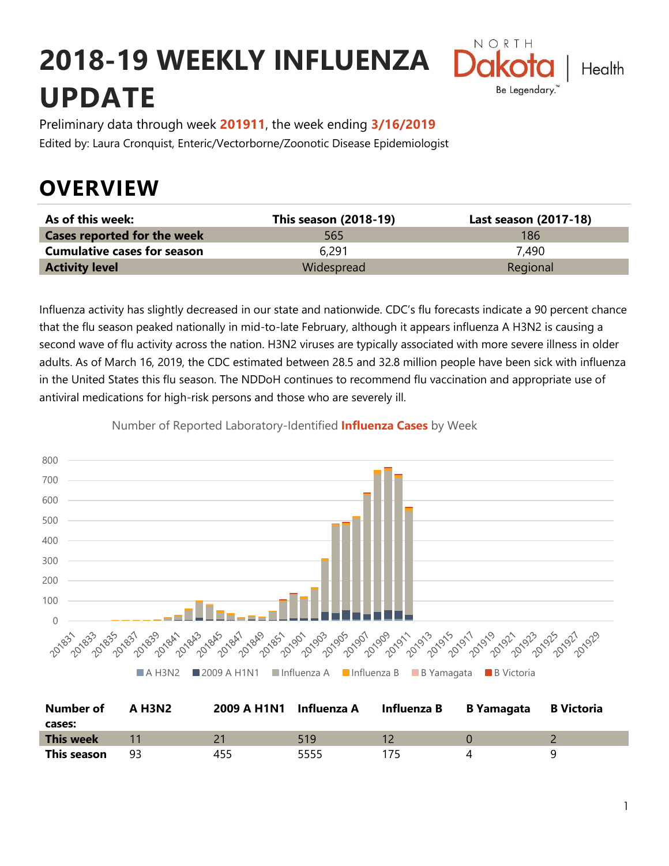# **2018-19 WEEKLY INFLUENZA UPDATE**



Preliminary data through week **201911**, the week ending **3/16/2019** Edited by: Laura Cronquist, Enteric/Vectorborne/Zoonotic Disease Epidemiologist

## **OVERVIEW**

| As of this week:                   | This season (2018-19) | Last season (2017-18) |
|------------------------------------|-----------------------|-----------------------|
| <b>Cases reported for the week</b> | 565                   | 186                   |
| <b>Cumulative cases for season</b> | 6.291                 | 7.490                 |
| <b>Activity level</b>              | Widespread            | Regional              |

Influenza activity has slightly decreased in our state and nationwide. CDC's flu forecasts indicate a 90 percent chance that the flu season peaked nationally in mid-to-late February, although it appears influenza A H3N2 is causing a second wave of flu activity across the nation. H3N2 viruses are typically associated with more severe illness in older adults. As of March 16, 2019, the CDC estimated between 28.5 and 32.8 million people have been sick with influenza in the United States this flu season. The NDDoH continues to recommend flu vaccination and appropriate use of antiviral medications for high-risk persons and those who are severely ill.

#### 800 700 600 500 400 300 200 100 0 2019/909 11 1839 201903 201905 2019/901 2019/3 201835 352 a37 201845 AS 2014/ AT 1849 511.001 2019-12 2019/15 2018A1 **AP 2551** ■ A H3N2 ■ 2009 A H1N1 ■ Influenza A ■ Influenza B ■ B Yamagata ■ B Victoria

Number of Reported Laboratory-Identified **Influenza Cases** by Week

| <b>Number of</b> | <b>A H3N2</b> | 2009 A H1N1 Influenza A |      | Influenza B | B Yamagata B Victoria |  |
|------------------|---------------|-------------------------|------|-------------|-----------------------|--|
| cases:           |               |                         |      |             |                       |  |
| This week        |               |                         | 519  |             |                       |  |
| This season      | 93            | 455                     | 5555 |             |                       |  |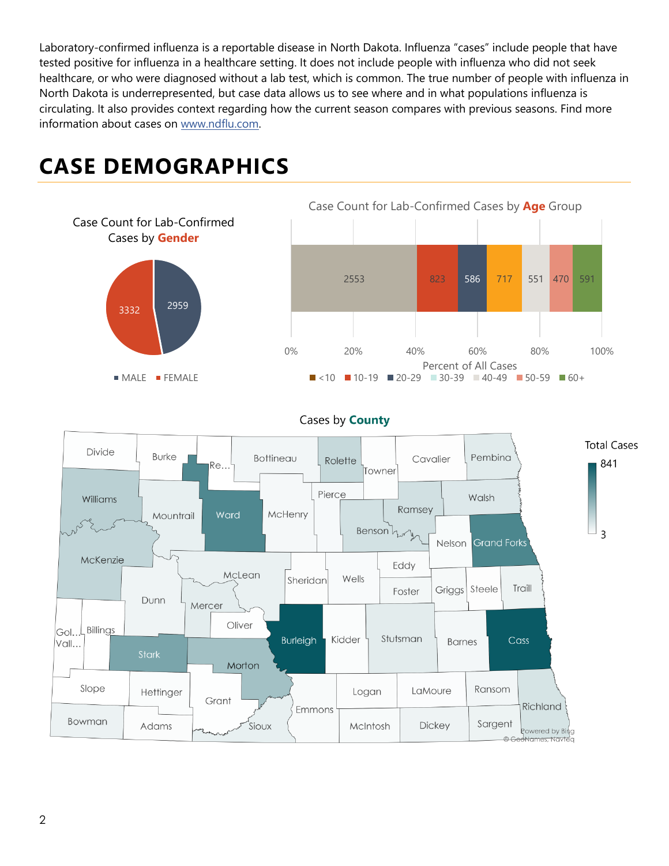Laboratory-confirmed influenza is a reportable disease in North Dakota. Influenza "cases" include people that have tested positive for influenza in a healthcare setting. It does not include people with influenza who did not seek healthcare, or who were diagnosed without a lab test, which is common. The true number of people with influenza in North Dakota is underrepresented, but case data allows us to see where and in what populations influenza is circulating. It also provides context regarding how the current season compares with previous seasons. Find more information about cases on [www.ndflu.com.](file://///nd.gov/doh/DOH-DATA/MSS/DC/PROGRAM/IMMUNE/Immunize/Influenza/Inf18-19/Surveillance/Weekly%20Summaries/www.ndflu.com)

#### <sup>2959</sup> <sup>3332</sup> Case Count for Lab-Confirmed Cases by **Gender MALE** FEMALE 2553 823 586 717 551 470 591 0% 20% 40% 60% 80% 100% Percent of All Cases Case Count for Lab-Confirmed Cases by **Age** Group  $\blacksquare$  <10  $\blacksquare$  10-19  $\blacksquare$  20-29  $\blacksquare$  30-39  $\blacksquare$  40-49  $\blacksquare$  50-59  $\blacksquare$  60+

## **CASE DEMOGRAPHICS**



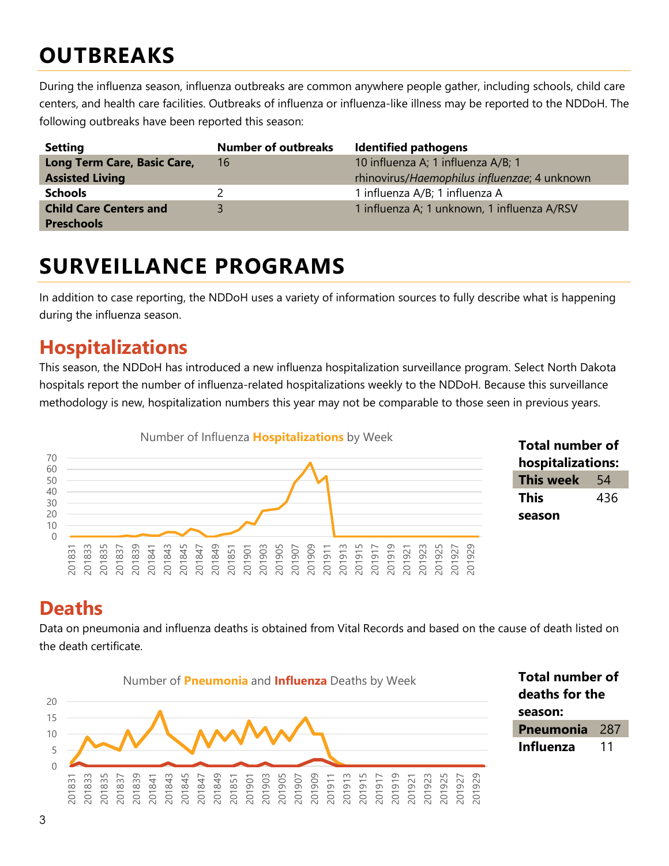## **OUTBREAKS**

During the influenza season, influenza outbreaks are common anywhere people gather, including schools, child care centers, and health care facilities. Outbreaks of influenza or influenza-like illness may be reported to the NDDoH. The following outbreaks have been reported this season:

| <b>Setting</b>                | <b>Number of outbreaks</b> | <b>Identified pathogens</b>                  |
|-------------------------------|----------------------------|----------------------------------------------|
| Long Term Care, Basic Care,   | 16                         | 10 influenza A; 1 influenza A/B; 1           |
| <b>Assisted Living</b>        |                            | rhinovirus/Haemophilus influenzae; 4 unknown |
| <b>Schools</b>                |                            | 1 influenza A/B; 1 influenza A               |
| <b>Child Care Centers and</b> |                            | 1 influenza A; 1 unknown, 1 influenza A/RSV  |
| <b>Preschools</b>             |                            |                                              |

## **SURVEILLANCE PROGRAMS**

In addition to case reporting, the NDDoH uses a variety of information sources to fully describe what is happening during the influenza season.

#### **Hospitalizations**

This season, the NDDoH has introduced a new influenza hospitalization surveillance program. Select North Dakota hospitals report the number of influenza-related hospitalizations weekly to the NDDoH. Because this surveillance methodology is new, hospitalization numbers this year may not be comparable to those seen in previous years.



| <b>Total number of</b> |     |  |  |
|------------------------|-----|--|--|
| hospitalizations:      |     |  |  |
| <b>This week</b>       | 54  |  |  |
| <b>This</b>            | 436 |  |  |
| season                 |     |  |  |

#### **Deaths**

Data on pneumonia and influenza deaths is obtained from Vital Records and based on the cause of death listed on the death certificate.



**Total number of deaths for the season: Pneumonia** 287 **Influenza** 11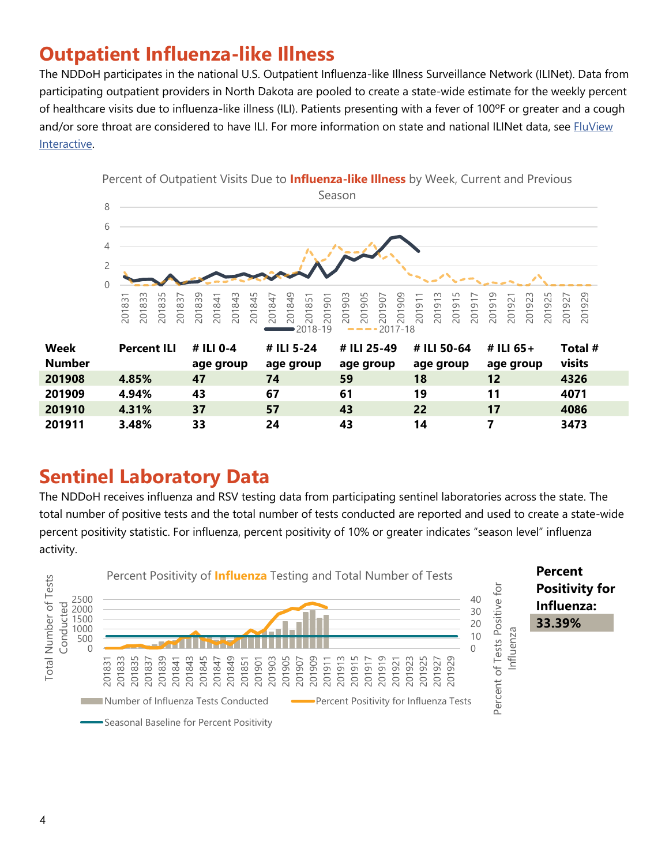### **Outpatient Influenza-like Illness**

The NDDoH participates in the national U.S. Outpatient Influenza-like Illness Surveillance Network (ILINet). Data from participating outpatient providers in North Dakota are pooled to create a state-wide estimate for the weekly percent of healthcare visits due to influenza-like illness (ILI). Patients presenting with a fever of 100ºF or greater and a cough and/or sore throat are considered to have ILI. For more information on state and national ILINet data, see FluView [Interactive.](https://gis.cdc.gov/grasp/fluview/fluportaldashboard.html)



#### **Sentinel Laboratory Data**

The NDDoH receives influenza and RSV testing data from participating sentinel laboratories across the state. The total number of positive tests and the total number of tests conducted are reported and used to create a state-wide percent positivity statistic. For influenza, percent positivity of 10% or greater indicates "season level" influenza activity.

**3.48% 33 24 43 14 7 3473**

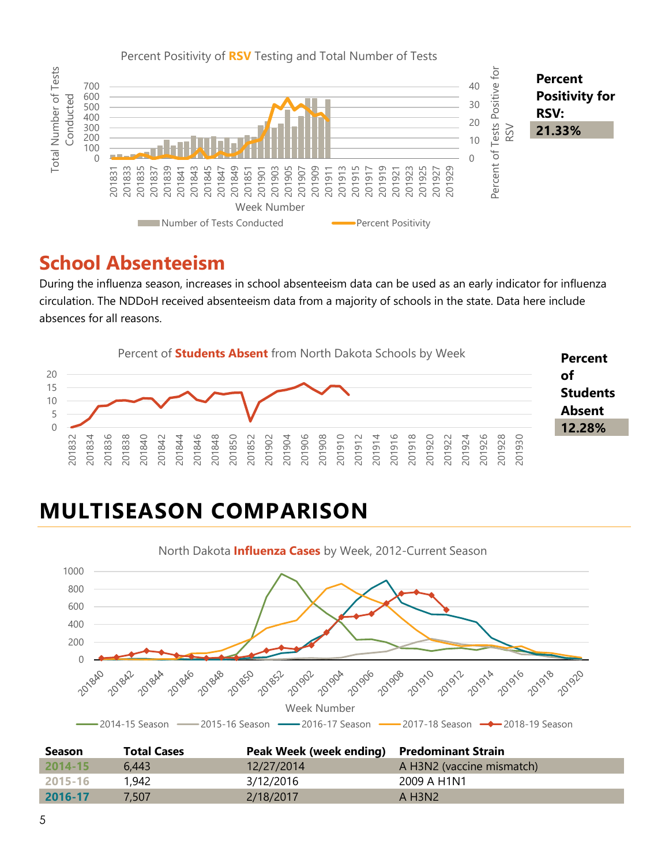

#### **School Absenteeism**

During the influenza season, increases in school absenteeism data can be used as an early indicator for influenza circulation. The NDDoH received absenteeism data from a majority of schools in the state. Data here include absences for all reasons.



## **MULTISEASON COMPARISON**



| <b>Season</b> | <b>Total Cases</b> | Peak Week (week ending) Predominant Strain |                                   |
|---------------|--------------------|--------------------------------------------|-----------------------------------|
| $2014 - 15$   | 6.443              | 12/27/2014                                 | A H3N2 (vaccine mismatch)         |
| 2015-16       | 1,942              | 3/12/2016                                  | 2009 A H1N1                       |
| 2016-17       | 7.507              | 2/18/2017                                  | $A$ H <sub>3</sub> N <sub>2</sub> |